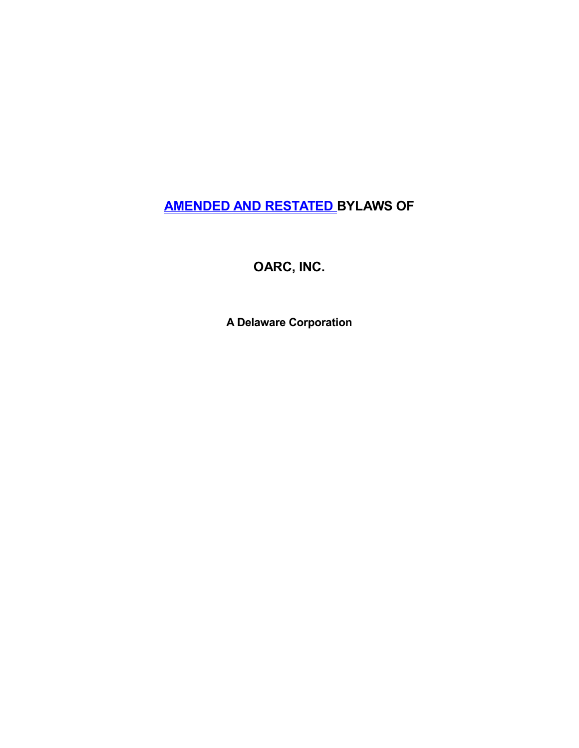# **AMENDED AND RESTATED BYLAWS OF**

**OARC, INC.**

**A Delaware Corporation**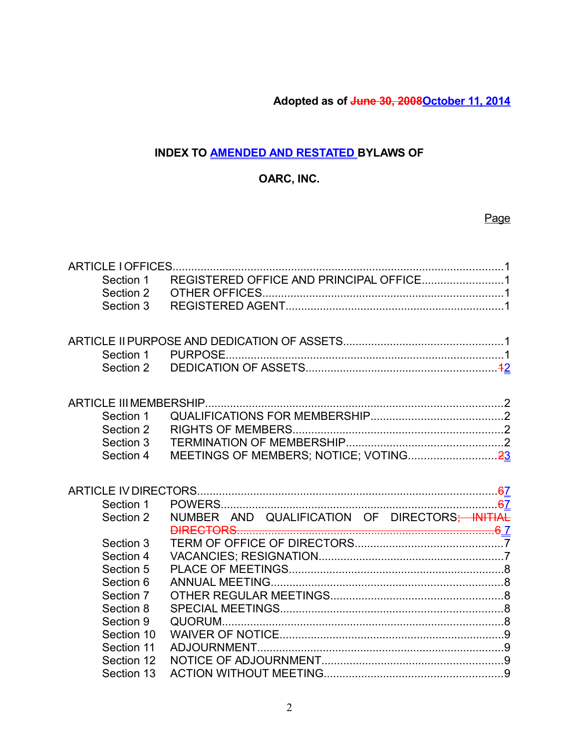**Adopted as of June 30, 2008October 11, 2014**

# **INDEX TO AMENDED AND RESTATED BYLAWS OF**

# **OARC, INC.**

# Page

| Section 1<br>Section 2<br>Section 3 |                                                |  |
|-------------------------------------|------------------------------------------------|--|
|                                     |                                                |  |
| Section 1                           |                                                |  |
|                                     |                                                |  |
| Section 1                           |                                                |  |
| Section 2                           |                                                |  |
| Section 3                           |                                                |  |
| Section 4                           |                                                |  |
|                                     |                                                |  |
| Section 1                           |                                                |  |
| Section 2                           | NUMBER AND QUALIFICATION OF DIRECTORS; INITIAL |  |
|                                     |                                                |  |
| Section 3                           |                                                |  |
| Section 4                           |                                                |  |
| Section 5                           |                                                |  |
| Section 6                           |                                                |  |
| Section 7                           |                                                |  |
| Section 8                           |                                                |  |
| Section 9                           |                                                |  |
| Section 10                          |                                                |  |
| Section 11                          |                                                |  |
| Section 12                          |                                                |  |
| Section 13                          |                                                |  |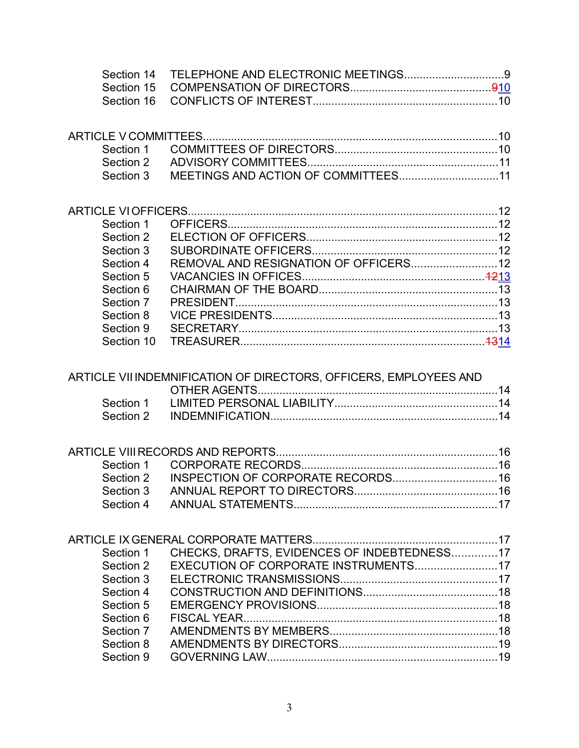| Section 1  |  |
|------------|--|
| Section 2  |  |
| Section 3  |  |
| Section 4  |  |
| Section 5  |  |
| Section 6  |  |
| Section 7  |  |
| Section 8  |  |
| Section 9  |  |
| Section 10 |  |

# ARTICLE VII INDEMNIFICATION OF DIRECTORS, OFFICERS, EMPLOYEES AND

| CHECKS, DRAFTS, EVIDENCES OF INDEBTEDNESS17<br>Section 1 |  |
|----------------------------------------------------------|--|
| Section 2                                                |  |
| Section 3                                                |  |
| Section 4                                                |  |
| Section 5                                                |  |
| Section 6                                                |  |
| Section 7                                                |  |
| Section 8                                                |  |
| Section 9                                                |  |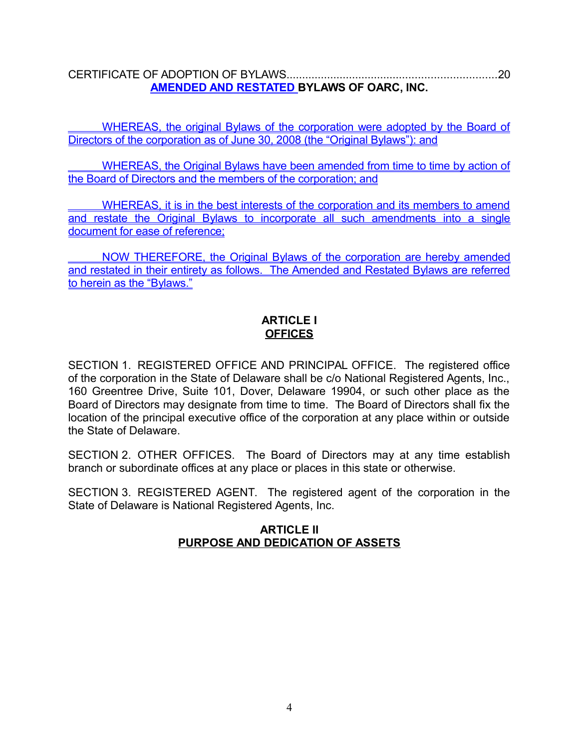CERTIFICATE OF ADOPTION OF BYLAWS...................................................................20 **AMENDED AND RESTATED BYLAWS OF OARC, INC.**

 WHEREAS, the original Bylaws of the corporation were adopted by the Board of Directors of the corporation as of June 30, 2008 (the "Original Bylaws"): and

 WHEREAS, the Original Bylaws have been amended from time to time by action of the Board of Directors and the members of the corporation; and

WHEREAS, it is in the best interests of the corporation and its members to amend and restate the Original Bylaws to incorporate all such amendments into a single document for ease of reference;

 NOW THEREFORE, the Original Bylaws of the corporation are hereby amended and restated in their entirety as follows. The Amended and Restated Bylaws are referred to herein as the "Bylaws."

# **ARTICLE I OFFICES**

SECTION 1. REGISTERED OFFICE AND PRINCIPAL OFFICE. The registered office of the corporation in the State of Delaware shall be c/o National Registered Agents, Inc., 160 Greentree Drive, Suite 101, Dover, Delaware 19904, or such other place as the Board of Directors may designate from time to time. The Board of Directors shall fix the location of the principal executive office of the corporation at any place within or outside the State of Delaware.

SECTION 2. OTHER OFFICES. The Board of Directors may at any time establish branch or subordinate offices at any place or places in this state or otherwise.

SECTION 3. REGISTERED AGENT. The registered agent of the corporation in the State of Delaware is National Registered Agents, Inc.

### **ARTICLE II PURPOSE AND DEDICATION OF ASSETS**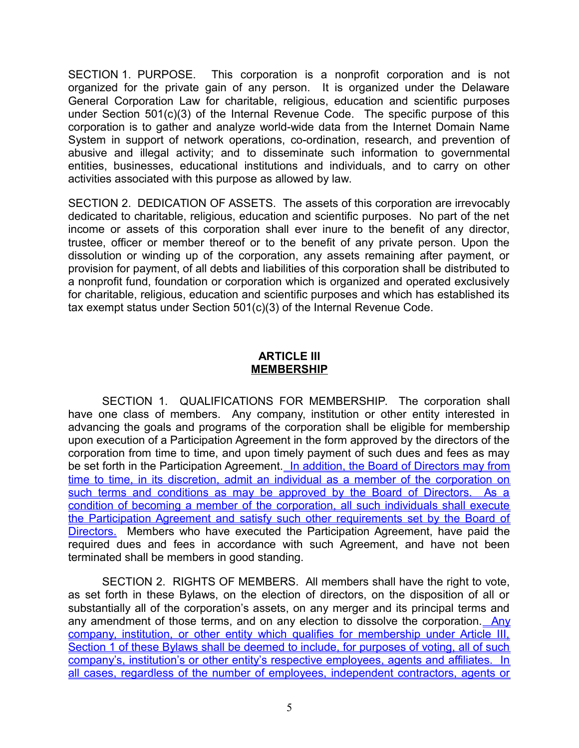SECTION 1. PURPOSE. This corporation is a nonprofit corporation and is not organized for the private gain of any person. It is organized under the Delaware General Corporation Law for charitable, religious, education and scientific purposes under Section 501(c)(3) of the Internal Revenue Code. The specific purpose of this corporation is to gather and analyze world-wide data from the Internet Domain Name System in support of network operations, co-ordination, research, and prevention of abusive and illegal activity; and to disseminate such information to governmental entities, businesses, educational institutions and individuals, and to carry on other activities associated with this purpose as allowed by law.

SECTION 2. DEDICATION OF ASSETS. The assets of this corporation are irrevocably dedicated to charitable, religious, education and scientific purposes. No part of the net income or assets of this corporation shall ever inure to the benefit of any director, trustee, officer or member thereof or to the benefit of any private person. Upon the dissolution or winding up of the corporation, any assets remaining after payment, or provision for payment, of all debts and liabilities of this corporation shall be distributed to a nonprofit fund, foundation or corporation which is organized and operated exclusively for charitable, religious, education and scientific purposes and which has established its tax exempt status under Section 501(c)(3) of the Internal Revenue Code.

#### **ARTICLE III MEMBERSHIP**

SECTION 1. QUALIFICATIONS FOR MEMBERSHIP. The corporation shall have one class of members. Any company, institution or other entity interested in advancing the goals and programs of the corporation shall be eligible for membership upon execution of a Participation Agreement in the form approved by the directors of the corporation from time to time, and upon timely payment of such dues and fees as may be set forth in the Participation Agreement. In addition, the Board of Directors may from time to time, in its discretion, admit an individual as a member of the corporation on such terms and conditions as may be approved by the Board of Directors. As a condition of becoming a member of the corporation, all such individuals shall execute the Participation Agreement and satisfy such other requirements set by the Board of Directors. Members who have executed the Participation Agreement, have paid the required dues and fees in accordance with such Agreement, and have not been terminated shall be members in good standing.

SECTION 2. RIGHTS OF MEMBERS. All members shall have the right to vote, as set forth in these Bylaws, on the election of directors, on the disposition of all or substantially all of the corporation's assets, on any merger and its principal terms and any amendment of those terms, and on any election to dissolve the corporation. Any company, institution, or other entity which qualifies for membership under Article III, Section 1 of these Bylaws shall be deemed to include, for purposes of voting, all of such company's, institution's or other entity's respective employees, agents and affiliates. In all cases, regardless of the number of employees, independent contractors, agents or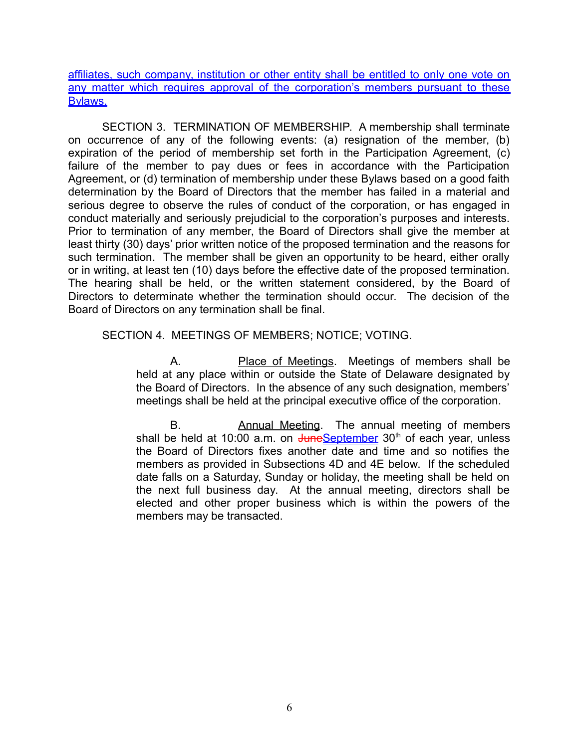affiliates, such company, institution or other entity shall be entitled to only one vote on any matter which requires approval of the corporation's members pursuant to these Bylaws.

SECTION 3. TERMINATION OF MEMBERSHIP. A membership shall terminate on occurrence of any of the following events: (a) resignation of the member, (b) expiration of the period of membership set forth in the Participation Agreement, (c) failure of the member to pay dues or fees in accordance with the Participation Agreement, or (d) termination of membership under these Bylaws based on a good faith determination by the Board of Directors that the member has failed in a material and serious degree to observe the rules of conduct of the corporation, or has engaged in conduct materially and seriously prejudicial to the corporation's purposes and interests. Prior to termination of any member, the Board of Directors shall give the member at least thirty (30) days' prior written notice of the proposed termination and the reasons for such termination. The member shall be given an opportunity to be heard, either orally or in writing, at least ten (10) days before the effective date of the proposed termination. The hearing shall be held, or the written statement considered, by the Board of Directors to determinate whether the termination should occur. The decision of the Board of Directors on any termination shall be final.

### SECTION 4. MEETINGS OF MEMBERS; NOTICE; VOTING.

A. Place of Meetings. Meetings of members shall be held at any place within or outside the State of Delaware designated by the Board of Directors. In the absence of any such designation, members' meetings shall be held at the principal executive office of the corporation.

B. **Annual Meeting.** The annual meeting of members shall be held at 10:00  $\overline{a.m.}$  on  $\overline{$ UmeSeptember 30<sup>th</sup> of each year, unless the Board of Directors fixes another date and time and so notifies the members as provided in Subsections 4D and 4E below. If the scheduled date falls on a Saturday, Sunday or holiday, the meeting shall be held on the next full business day. At the annual meeting, directors shall be elected and other proper business which is within the powers of the members may be transacted.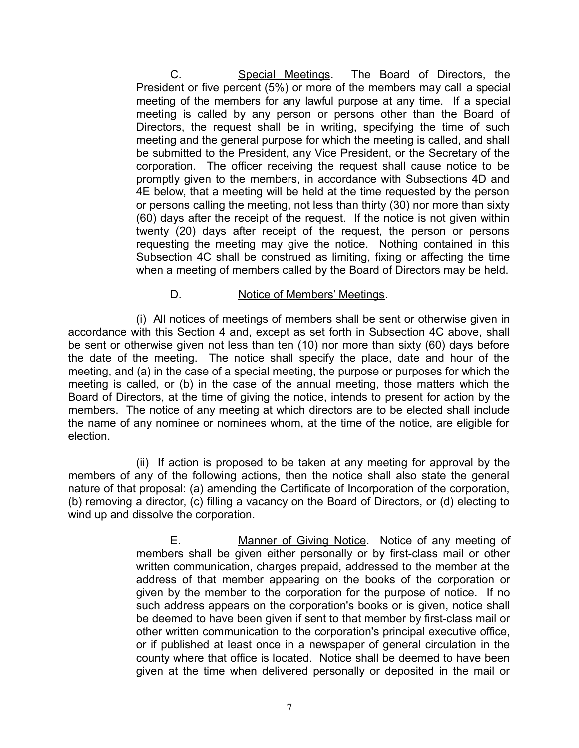C. Special Meetings. The Board of Directors, the President or five percent (5%) or more of the members may call a special meeting of the members for any lawful purpose at any time. If a special meeting is called by any person or persons other than the Board of Directors, the request shall be in writing, specifying the time of such meeting and the general purpose for which the meeting is called, and shall be submitted to the President, any Vice President, or the Secretary of the corporation. The officer receiving the request shall cause notice to be promptly given to the members, in accordance with Subsections 4D and 4E below, that a meeting will be held at the time requested by the person or persons calling the meeting, not less than thirty (30) nor more than sixty (60) days after the receipt of the request. If the notice is not given within twenty (20) days after receipt of the request, the person or persons requesting the meeting may give the notice. Nothing contained in this Subsection 4C shall be construed as limiting, fixing or affecting the time when a meeting of members called by the Board of Directors may be held.

### D. Notice of Members' Meetings.

(i) All notices of meetings of members shall be sent or otherwise given in accordance with this Section 4 and, except as set forth in Subsection 4C above, shall be sent or otherwise given not less than ten (10) nor more than sixty (60) days before the date of the meeting. The notice shall specify the place, date and hour of the meeting, and (a) in the case of a special meeting, the purpose or purposes for which the meeting is called, or (b) in the case of the annual meeting, those matters which the Board of Directors, at the time of giving the notice, intends to present for action by the members. The notice of any meeting at which directors are to be elected shall include the name of any nominee or nominees whom, at the time of the notice, are eligible for election.

(ii) If action is proposed to be taken at any meeting for approval by the members of any of the following actions, then the notice shall also state the general nature of that proposal: (a) amending the Certificate of Incorporation of the corporation, (b) removing a director, (c) filling a vacancy on the Board of Directors, or (d) electing to wind up and dissolve the corporation.

> E. Manner of Giving Notice. Notice of any meeting of members shall be given either personally or by first-class mail or other written communication, charges prepaid, addressed to the member at the address of that member appearing on the books of the corporation or given by the member to the corporation for the purpose of notice. If no such address appears on the corporation's books or is given, notice shall be deemed to have been given if sent to that member by first-class mail or other written communication to the corporation's principal executive office, or if published at least once in a newspaper of general circulation in the county where that office is located. Notice shall be deemed to have been given at the time when delivered personally or deposited in the mail or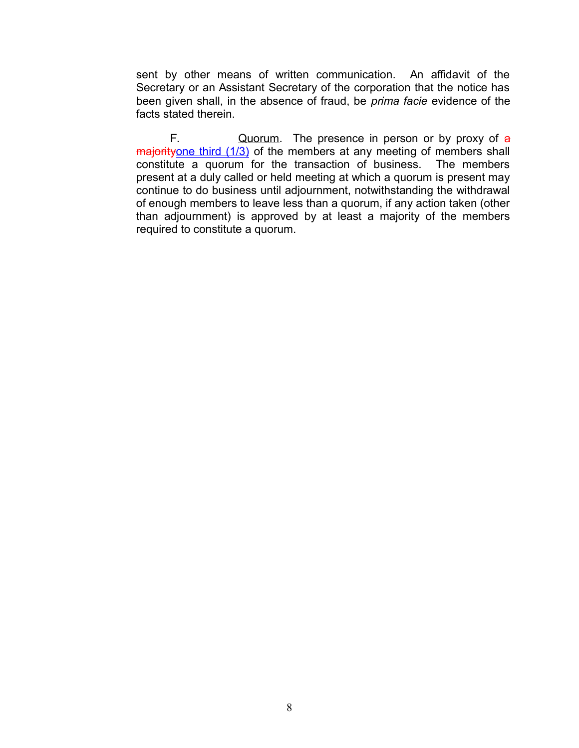sent by other means of written communication. An affidavit of the Secretary or an Assistant Secretary of the corporation that the notice has been given shall, in the absence of fraud, be *prima facie* evidence of the facts stated therein.

F.  $Quorum$ . The presence in person or by proxy of  $a$ majorityone third (1/3) of the members at any meeting of members shall constitute a quorum for the transaction of business. The members present at a duly called or held meeting at which a quorum is present may continue to do business until adjournment, notwithstanding the withdrawal of enough members to leave less than a quorum, if any action taken (other than adjournment) is approved by at least a majority of the members required to constitute a quorum.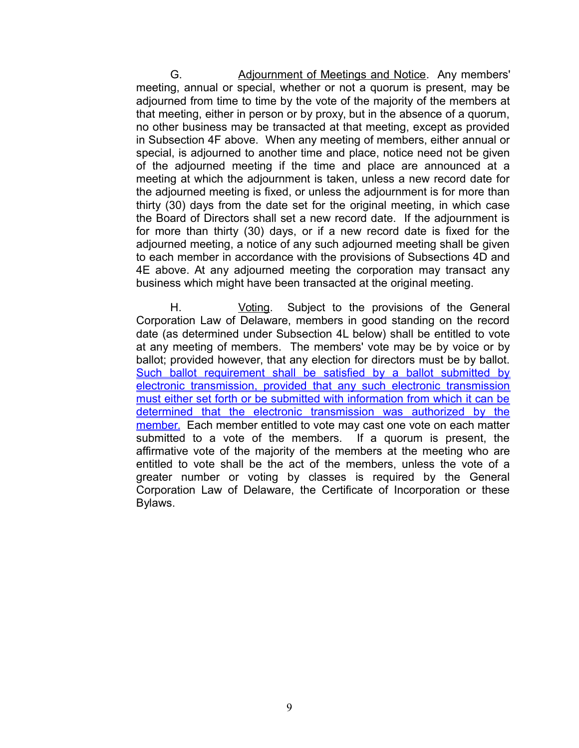G. Adjournment of Meetings and Notice. Any members' meeting, annual or special, whether or not a quorum is present, may be adjourned from time to time by the vote of the majority of the members at that meeting, either in person or by proxy, but in the absence of a quorum, no other business may be transacted at that meeting, except as provided in Subsection 4F above. When any meeting of members, either annual or special, is adjourned to another time and place, notice need not be given of the adjourned meeting if the time and place are announced at a meeting at which the adjournment is taken, unless a new record date for the adjourned meeting is fixed, or unless the adjournment is for more than thirty (30) days from the date set for the original meeting, in which case the Board of Directors shall set a new record date. If the adjournment is for more than thirty (30) days, or if a new record date is fixed for the adjourned meeting, a notice of any such adjourned meeting shall be given to each member in accordance with the provisions of Subsections 4D and 4E above. At any adjourned meeting the corporation may transact any business which might have been transacted at the original meeting.

H. Voting. Subject to the provisions of the General Corporation Law of Delaware, members in good standing on the record date (as determined under Subsection 4L below) shall be entitled to vote at any meeting of members. The members' vote may be by voice or by ballot; provided however, that any election for directors must be by ballot. Such ballot requirement shall be satisfied by a ballot submitted by electronic transmission, provided that any such electronic transmission must either set forth or be submitted with information from which it can be determined that the electronic transmission was authorized by the member. Each member entitled to vote may cast one vote on each matter submitted to a vote of the members. If a quorum is present, the affirmative vote of the majority of the members at the meeting who are entitled to vote shall be the act of the members, unless the vote of a greater number or voting by classes is required by the General Corporation Law of Delaware, the Certificate of Incorporation or these Bylaws.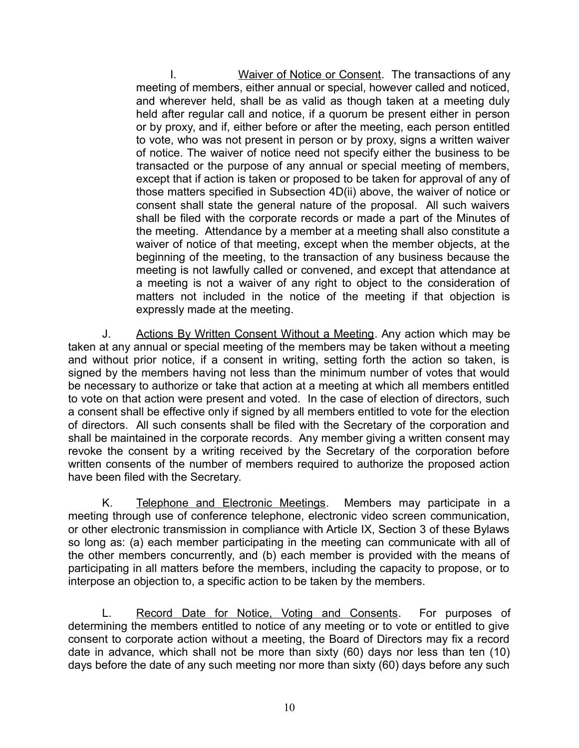I. Waiver of Notice or Consent. The transactions of any meeting of members, either annual or special, however called and noticed, and wherever held, shall be as valid as though taken at a meeting duly held after regular call and notice, if a quorum be present either in person or by proxy, and if, either before or after the meeting, each person entitled to vote, who was not present in person or by proxy, signs a written waiver of notice. The waiver of notice need not specify either the business to be transacted or the purpose of any annual or special meeting of members, except that if action is taken or proposed to be taken for approval of any of those matters specified in Subsection 4D(ii) above, the waiver of notice or consent shall state the general nature of the proposal. All such waivers shall be filed with the corporate records or made a part of the Minutes of the meeting. Attendance by a member at a meeting shall also constitute a waiver of notice of that meeting, except when the member objects, at the beginning of the meeting, to the transaction of any business because the meeting is not lawfully called or convened, and except that attendance at a meeting is not a waiver of any right to object to the consideration of matters not included in the notice of the meeting if that objection is expressly made at the meeting.

J. Actions By Written Consent Without a Meeting. Any action which may be taken at any annual or special meeting of the members may be taken without a meeting and without prior notice, if a consent in writing, setting forth the action so taken, is signed by the members having not less than the minimum number of votes that would be necessary to authorize or take that action at a meeting at which all members entitled to vote on that action were present and voted. In the case of election of directors, such a consent shall be effective only if signed by all members entitled to vote for the election of directors. All such consents shall be filed with the Secretary of the corporation and shall be maintained in the corporate records. Any member giving a written consent may revoke the consent by a writing received by the Secretary of the corporation before written consents of the number of members required to authorize the proposed action have been filed with the Secretary.

K. Telephone and Electronic Meetings. Members may participate in a meeting through use of conference telephone, electronic video screen communication, or other electronic transmission in compliance with Article IX, Section 3 of these Bylaws so long as: (a) each member participating in the meeting can communicate with all of the other members concurrently, and (b) each member is provided with the means of participating in all matters before the members, including the capacity to propose, or to interpose an objection to, a specific action to be taken by the members.

L. Record Date for Notice, Voting and Consents. For purposes of determining the members entitled to notice of any meeting or to vote or entitled to give consent to corporate action without a meeting, the Board of Directors may fix a record date in advance, which shall not be more than sixty (60) days nor less than ten (10) days before the date of any such meeting nor more than sixty (60) days before any such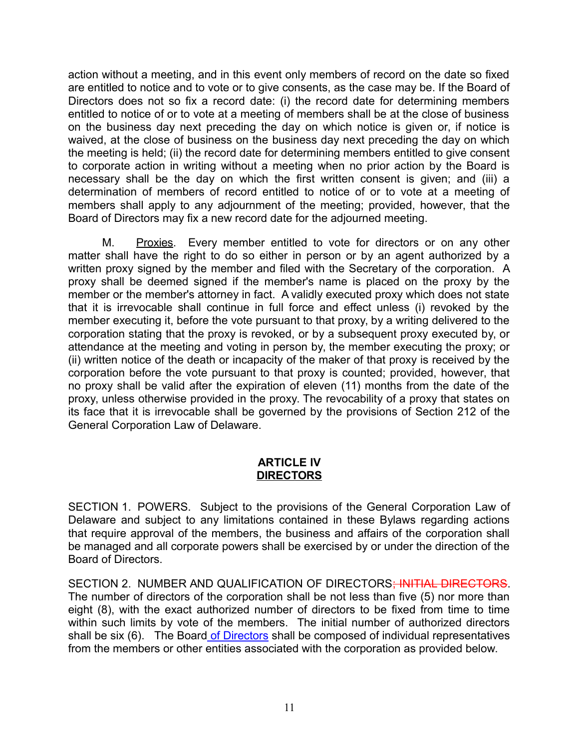action without a meeting, and in this event only members of record on the date so fixed are entitled to notice and to vote or to give consents, as the case may be. If the Board of Directors does not so fix a record date: (i) the record date for determining members entitled to notice of or to vote at a meeting of members shall be at the close of business on the business day next preceding the day on which notice is given or, if notice is waived, at the close of business on the business day next preceding the day on which the meeting is held; (ii) the record date for determining members entitled to give consent to corporate action in writing without a meeting when no prior action by the Board is necessary shall be the day on which the first written consent is given; and (iii) a determination of members of record entitled to notice of or to vote at a meeting of members shall apply to any adjournment of the meeting; provided, however, that the Board of Directors may fix a new record date for the adjourned meeting.

M. Proxies. Every member entitled to vote for directors or on any other matter shall have the right to do so either in person or by an agent authorized by a written proxy signed by the member and filed with the Secretary of the corporation. A proxy shall be deemed signed if the member's name is placed on the proxy by the member or the member's attorney in fact. A validly executed proxy which does not state that it is irrevocable shall continue in full force and effect unless (i) revoked by the member executing it, before the vote pursuant to that proxy, by a writing delivered to the corporation stating that the proxy is revoked, or by a subsequent proxy executed by, or attendance at the meeting and voting in person by, the member executing the proxy; or (ii) written notice of the death or incapacity of the maker of that proxy is received by the corporation before the vote pursuant to that proxy is counted; provided, however, that no proxy shall be valid after the expiration of eleven (11) months from the date of the proxy, unless otherwise provided in the proxy. The revocability of a proxy that states on its face that it is irrevocable shall be governed by the provisions of Section 212 of the General Corporation Law of Delaware.

### **ARTICLE IV DIRECTORS**

SECTION 1. POWERS. Subject to the provisions of the General Corporation Law of Delaware and subject to any limitations contained in these Bylaws regarding actions that require approval of the members, the business and affairs of the corporation shall be managed and all corporate powers shall be exercised by or under the direction of the Board of Directors.

SECTION 2. NUMBER AND QUALIFICATION OF DIRECTORS; INITIAL DIRECTORS. The number of directors of the corporation shall be not less than five (5) nor more than eight (8), with the exact authorized number of directors to be fixed from time to time within such limits by vote of the members. The initial number of authorized directors shall be six (6). The Board of Directors shall be composed of individual representatives from the members or other entities associated with the corporation as provided below.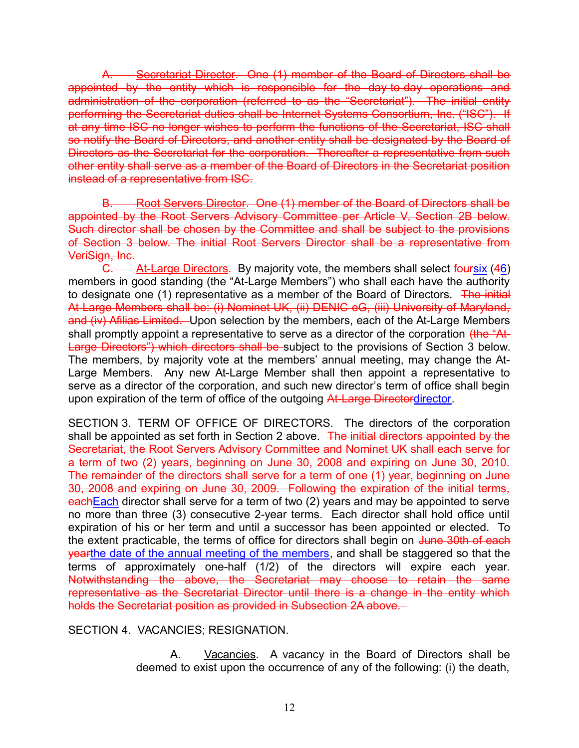A. Secretariat Director. One (1) member of the Board of Directors shall be appointed by the entity which is responsible for the day-to-day operations and administration of the corporation (referred to as the "Secretariat"). The initial entity performing the Secretariat duties shall be Internet Systems Consortium, Inc. ("ISC"). If at any time ISC no longer wishes to perform the functions of the Secretariat, ISC shall so notify the Board of Directors, and another entity shall be designated by the Board of Directors as the Secretariat for the corporation. Thereafter a representative from such other entity shall serve as a member of the Board of Directors in the Secretariat position instead of a representative from ISC.

B. Root Servers Director. One (1) member of the Board of Directors shall be appointed by the Root Servers Advisory Committee per Article V, Section 2B below. Such director shall be chosen by the Committee and shall be subject to the provisions of Section 3 below. The initial Root Servers Director shall be a representative from VeriSign, Inc.

C. At-Large Directors. By majority vote, the members shall select foursix (46) members in good standing (the "At-Large Members") who shall each have the authority to designate one (1) representative as a member of the Board of Directors. The initial At-Large Members shall be: (i) Nominet UK, (ii) DENIC eG, (iii) University of Maryland, and (iv) Afilias Limited. Upon selection by the members, each of the At-Large Members shall promptly appoint a representative to serve as a director of the corporation (the "At-Large Directors") which directors shall be subject to the provisions of Section 3 below. The members, by majority vote at the members' annual meeting, may change the At-Large Members. Any new At-Large Member shall then appoint a representative to serve as a director of the corporation, and such new director's term of office shall begin upon expiration of the term of office of the outgoing At-Large Directordirector.

SECTION 3. TERM OF OFFICE OF DIRECTORS. The directors of the corporation shall be appointed as set forth in Section 2 above. The initial directors appointed by the Secretariat, the Root Servers Advisory Committee and Nominet UK shall each serve for a term of two (2) years, beginning on June 30, 2008 and expiring on June 30, 2010. The remainder of the directors shall serve for a term of one (1) year, beginning on June 30, 2008 and expiring on June 30, 2009. Following the expiration of the initial terms, each Each director shall serve for a term of two (2) years and may be appointed to serve no more than three (3) consecutive 2-year terms. Each director shall hold office until expiration of his or her term and until a successor has been appointed or elected. To the extent practicable, the terms of office for directors shall begin on June 30th of each yearthe date of the annual meeting of the members, and shall be staggered so that the terms of approximately one-half (1/2) of the directors will expire each year. Notwithstanding the above, the Secretariat may choose to retain the same representative as the Secretariat Director until there is a change in the entity which holds the Secretariat position as provided in Subsection 2A above.

SECTION 4. VACANCIES; RESIGNATION.

A. Vacancies. A vacancy in the Board of Directors shall be deemed to exist upon the occurrence of any of the following: (i) the death,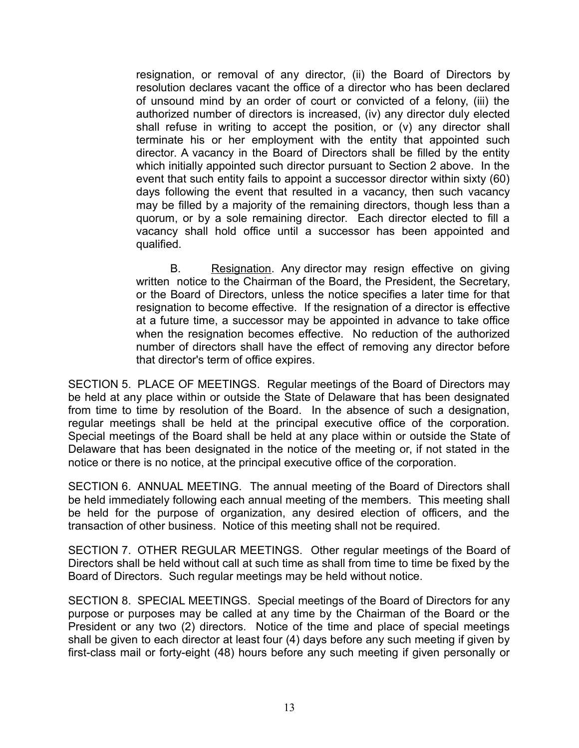resignation, or removal of any director, (ii) the Board of Directors by resolution declares vacant the office of a director who has been declared of unsound mind by an order of court or convicted of a felony, (iii) the authorized number of directors is increased, (iv) any director duly elected shall refuse in writing to accept the position, or (v) any director shall terminate his or her employment with the entity that appointed such director. A vacancy in the Board of Directors shall be filled by the entity which initially appointed such director pursuant to Section 2 above. In the event that such entity fails to appoint a successor director within sixty (60) days following the event that resulted in a vacancy, then such vacancy may be filled by a majority of the remaining directors, though less than a quorum, or by a sole remaining director. Each director elected to fill a vacancy shall hold office until a successor has been appointed and qualified.

B. Resignation. Any director may resign effective on giving written notice to the Chairman of the Board, the President, the Secretary, or the Board of Directors, unless the notice specifies a later time for that resignation to become effective. If the resignation of a director is effective at a future time, a successor may be appointed in advance to take office when the resignation becomes effective. No reduction of the authorized number of directors shall have the effect of removing any director before that director's term of office expires.

SECTION 5. PLACE OF MEETINGS. Regular meetings of the Board of Directors may be held at any place within or outside the State of Delaware that has been designated from time to time by resolution of the Board. In the absence of such a designation, regular meetings shall be held at the principal executive office of the corporation. Special meetings of the Board shall be held at any place within or outside the State of Delaware that has been designated in the notice of the meeting or, if not stated in the notice or there is no notice, at the principal executive office of the corporation.

SECTION 6. ANNUAL MEETING. The annual meeting of the Board of Directors shall be held immediately following each annual meeting of the members. This meeting shall be held for the purpose of organization, any desired election of officers, and the transaction of other business. Notice of this meeting shall not be required.

SECTION 7. OTHER REGULAR MEETINGS. Other regular meetings of the Board of Directors shall be held without call at such time as shall from time to time be fixed by the Board of Directors. Such regular meetings may be held without notice.

SECTION 8. SPECIAL MEETINGS. Special meetings of the Board of Directors for any purpose or purposes may be called at any time by the Chairman of the Board or the President or any two (2) directors. Notice of the time and place of special meetings shall be given to each director at least four (4) days before any such meeting if given by first-class mail or forty-eight (48) hours before any such meeting if given personally or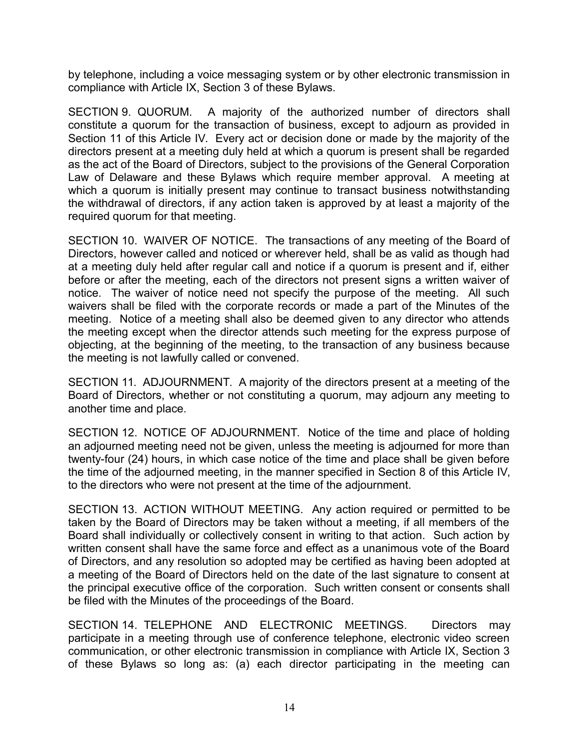by telephone, including a voice messaging system or by other electronic transmission in compliance with Article IX, Section 3 of these Bylaws.

SECTION 9. QUORUM. A majority of the authorized number of directors shall constitute a quorum for the transaction of business, except to adjourn as provided in Section 11 of this Article IV. Every act or decision done or made by the majority of the directors present at a meeting duly held at which a quorum is present shall be regarded as the act of the Board of Directors, subject to the provisions of the General Corporation Law of Delaware and these Bylaws which require member approval. A meeting at which a quorum is initially present may continue to transact business notwithstanding the withdrawal of directors, if any action taken is approved by at least a majority of the required quorum for that meeting.

SECTION 10. WAIVER OF NOTICE. The transactions of any meeting of the Board of Directors, however called and noticed or wherever held, shall be as valid as though had at a meeting duly held after regular call and notice if a quorum is present and if, either before or after the meeting, each of the directors not present signs a written waiver of notice. The waiver of notice need not specify the purpose of the meeting. All such waivers shall be filed with the corporate records or made a part of the Minutes of the meeting. Notice of a meeting shall also be deemed given to any director who attends the meeting except when the director attends such meeting for the express purpose of objecting, at the beginning of the meeting, to the transaction of any business because the meeting is not lawfully called or convened.

SECTION 11. ADJOURNMENT. A majority of the directors present at a meeting of the Board of Directors, whether or not constituting a quorum, may adjourn any meeting to another time and place.

SECTION 12. NOTICE OF ADJOURNMENT. Notice of the time and place of holding an adjourned meeting need not be given, unless the meeting is adjourned for more than twenty-four (24) hours, in which case notice of the time and place shall be given before the time of the adjourned meeting, in the manner specified in Section 8 of this Article IV, to the directors who were not present at the time of the adjournment.

SECTION 13. ACTION WITHOUT MEETING. Any action required or permitted to be taken by the Board of Directors may be taken without a meeting, if all members of the Board shall individually or collectively consent in writing to that action. Such action by written consent shall have the same force and effect as a unanimous vote of the Board of Directors, and any resolution so adopted may be certified as having been adopted at a meeting of the Board of Directors held on the date of the last signature to consent at the principal executive office of the corporation. Such written consent or consents shall be filed with the Minutes of the proceedings of the Board.

SECTION 14. TELEPHONE AND ELECTRONIC MEETINGS. Directors may participate in a meeting through use of conference telephone, electronic video screen communication, or other electronic transmission in compliance with Article IX, Section 3 of these Bylaws so long as: (a) each director participating in the meeting can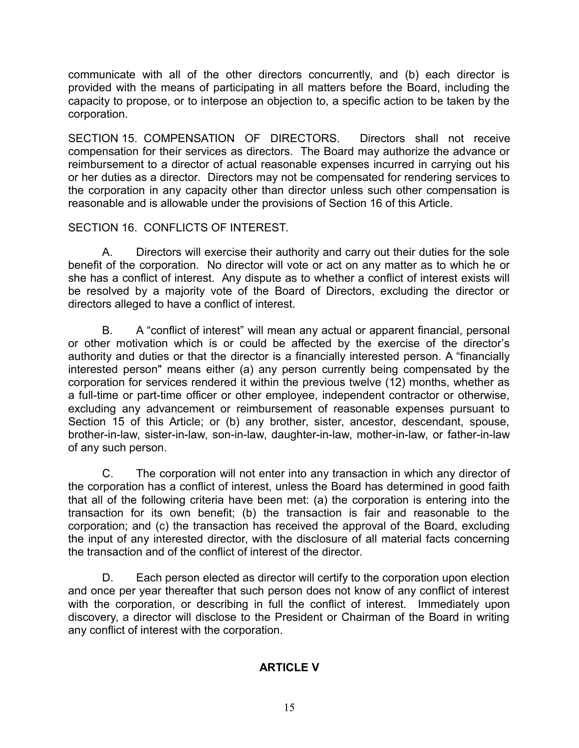communicate with all of the other directors concurrently, and (b) each director is provided with the means of participating in all matters before the Board, including the capacity to propose, or to interpose an objection to, a specific action to be taken by the corporation.

SECTION 15. COMPENSATION OF DIRECTORS. Directors shall not receive compensation for their services as directors. The Board may authorize the advance or reimbursement to a director of actual reasonable expenses incurred in carrying out his or her duties as a director. Directors may not be compensated for rendering services to the corporation in any capacity other than director unless such other compensation is reasonable and is allowable under the provisions of Section 16 of this Article.

# SECTION 16. CONFLICTS OF INTEREST.

A. Directors will exercise their authority and carry out their duties for the sole benefit of the corporation. No director will vote or act on any matter as to which he or she has a conflict of interest. Any dispute as to whether a conflict of interest exists will be resolved by a majority vote of the Board of Directors, excluding the director or directors alleged to have a conflict of interest.

B. A "conflict of interest" will mean any actual or apparent financial, personal or other motivation which is or could be affected by the exercise of the director's authority and duties or that the director is a financially interested person. A "financially interested person" means either (a) any person currently being compensated by the corporation for services rendered it within the previous twelve (12) months, whether as a full-time or part-time officer or other employee, independent contractor or otherwise, excluding any advancement or reimbursement of reasonable expenses pursuant to Section 15 of this Article; or (b) any brother, sister, ancestor, descendant, spouse, brother-in-law, sister-in-law, son-in-law, daughter-in-law, mother-in-law, or father-in-law of any such person.

C. The corporation will not enter into any transaction in which any director of the corporation has a conflict of interest, unless the Board has determined in good faith that all of the following criteria have been met: (a) the corporation is entering into the transaction for its own benefit; (b) the transaction is fair and reasonable to the corporation; and (c) the transaction has received the approval of the Board, excluding the input of any interested director, with the disclosure of all material facts concerning the transaction and of the conflict of interest of the director.

D. Each person elected as director will certify to the corporation upon election and once per year thereafter that such person does not know of any conflict of interest with the corporation, or describing in full the conflict of interest. Immediately upon discovery, a director will disclose to the President or Chairman of the Board in writing any conflict of interest with the corporation.

# **ARTICLE V**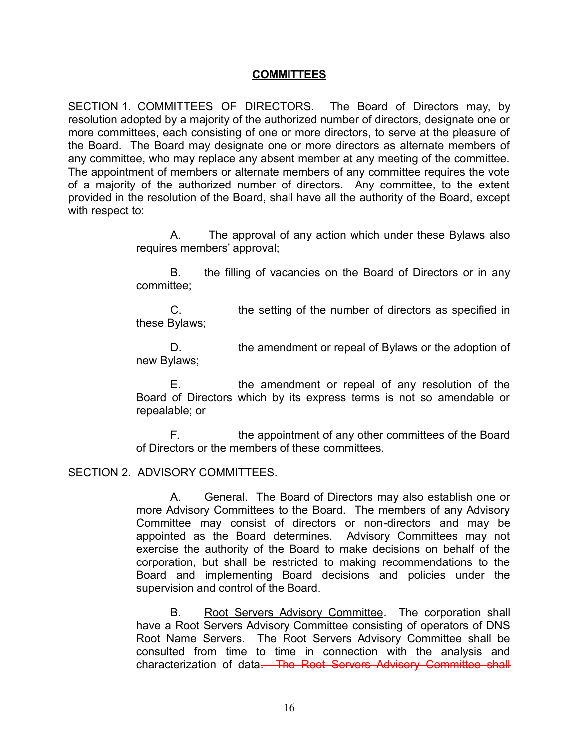#### **COMMITTEES**

SECTION 1. COMMITTEES OF DIRECTORS. The Board of Directors may, by resolution adopted by a majority of the authorized number of directors, designate one or more committees, each consisting of one or more directors, to serve at the pleasure of the Board. The Board may designate one or more directors as alternate members of any committee, who may replace any absent member at any meeting of the committee. The appointment of members or alternate members of any committee requires the vote of a majority of the authorized number of directors. Any committee, to the extent provided in the resolution of the Board, shall have all the authority of the Board, except with respect to:

> A. The approval of any action which under these Bylaws also requires members' approval;

> B. the filling of vacancies on the Board of Directors or in any committee;

> C. the setting of the number of directors as specified in these Bylaws;

> D. the amendment or repeal of Bylaws or the adoption of new Bylaws;

> E. the amendment or repeal of any resolution of the Board of Directors which by its express terms is not so amendable or repealable; or

> F. the appointment of any other committees of the Board of Directors or the members of these committees.

### SECTION 2. ADVISORY COMMITTEES.

A. General. The Board of Directors may also establish one or more Advisory Committees to the Board. The members of any Advisory Committee may consist of directors or non-directors and may be appointed as the Board determines. Advisory Committees may not exercise the authority of the Board to make decisions on behalf of the corporation, but shall be restricted to making recommendations to the Board and implementing Board decisions and policies under the supervision and control of the Board.

B. Root Servers Advisory Committee. The corporation shall have a Root Servers Advisory Committee consisting of operators of DNS Root Name Servers. The Root Servers Advisory Committee shall be consulted from time to time in connection with the analysis and characterization of data. The Root Servers Advisory Committee shall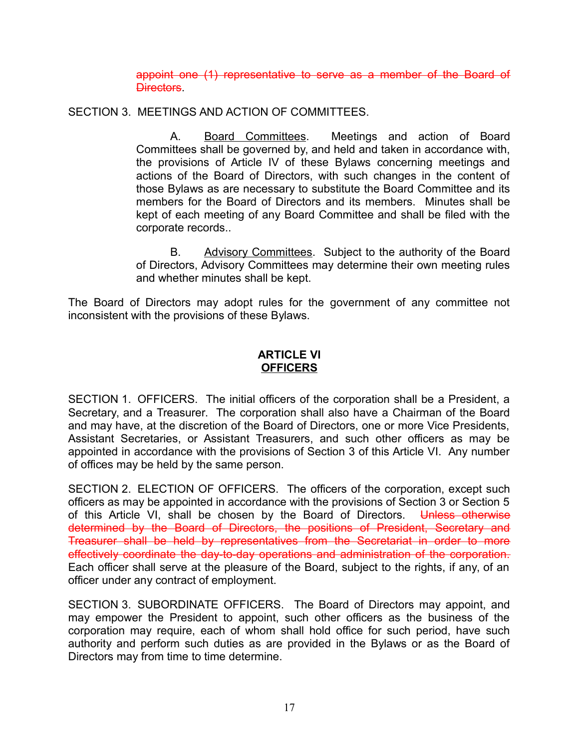appoint one (1) representative to serve as a member of the Board of **Directors** 

SECTION 3. MEETINGS AND ACTION OF COMMITTEES.

A. Board Committees. Meetings and action of Board Committees shall be governed by, and held and taken in accordance with, the provisions of Article IV of these Bylaws concerning meetings and actions of the Board of Directors, with such changes in the content of those Bylaws as are necessary to substitute the Board Committee and its members for the Board of Directors and its members. Minutes shall be kept of each meeting of any Board Committee and shall be filed with the corporate records..

B. Advisory Committees. Subject to the authority of the Board of Directors, Advisory Committees may determine their own meeting rules and whether minutes shall be kept.

The Board of Directors may adopt rules for the government of any committee not inconsistent with the provisions of these Bylaws.

### **ARTICLE VI OFFICERS**

SECTION 1. OFFICERS. The initial officers of the corporation shall be a President, a Secretary, and a Treasurer. The corporation shall also have a Chairman of the Board and may have, at the discretion of the Board of Directors, one or more Vice Presidents, Assistant Secretaries, or Assistant Treasurers, and such other officers as may be appointed in accordance with the provisions of Section 3 of this Article VI. Any number of offices may be held by the same person.

SECTION 2. ELECTION OF OFFICERS. The officers of the corporation, except such officers as may be appointed in accordance with the provisions of Section 3 or Section 5 of this Article VI, shall be chosen by the Board of Directors. Unless otherwise determined by the Board of Directors, the positions of President, Secretary and Treasurer shall be held by representatives from the Secretariat in order to more effectively coordinate the day-to-day operations and administration of the corporation. Each officer shall serve at the pleasure of the Board, subject to the rights, if any, of an officer under any contract of employment.

SECTION 3. SUBORDINATE OFFICERS. The Board of Directors may appoint, and may empower the President to appoint, such other officers as the business of the corporation may require, each of whom shall hold office for such period, have such authority and perform such duties as are provided in the Bylaws or as the Board of Directors may from time to time determine.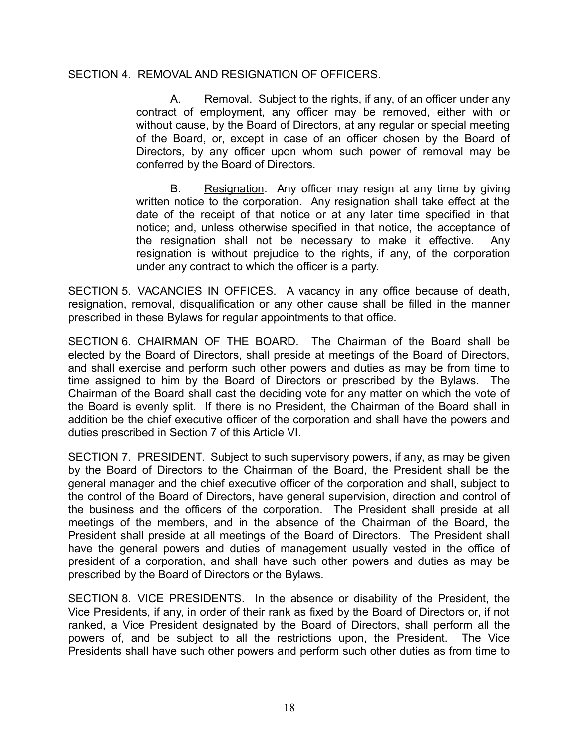### SECTION 4. REMOVAL AND RESIGNATION OF OFFICERS.

A. Removal. Subject to the rights, if any, of an officer under any contract of employment, any officer may be removed, either with or without cause, by the Board of Directors, at any regular or special meeting of the Board, or, except in case of an officer chosen by the Board of Directors, by any officer upon whom such power of removal may be conferred by the Board of Directors.

B. Resignation. Any officer may resign at any time by giving written notice to the corporation. Any resignation shall take effect at the date of the receipt of that notice or at any later time specified in that notice; and, unless otherwise specified in that notice, the acceptance of the resignation shall not be necessary to make it effective. Any resignation is without prejudice to the rights, if any, of the corporation under any contract to which the officer is a party.

SECTION 5. VACANCIES IN OFFICES. A vacancy in any office because of death, resignation, removal, disqualification or any other cause shall be filled in the manner prescribed in these Bylaws for regular appointments to that office.

SECTION 6. CHAIRMAN OF THE BOARD. The Chairman of the Board shall be elected by the Board of Directors, shall preside at meetings of the Board of Directors, and shall exercise and perform such other powers and duties as may be from time to time assigned to him by the Board of Directors or prescribed by the Bylaws. The Chairman of the Board shall cast the deciding vote for any matter on which the vote of the Board is evenly split. If there is no President, the Chairman of the Board shall in addition be the chief executive officer of the corporation and shall have the powers and duties prescribed in Section 7 of this Article VI.

SECTION 7. PRESIDENT. Subject to such supervisory powers, if any, as may be given by the Board of Directors to the Chairman of the Board, the President shall be the general manager and the chief executive officer of the corporation and shall, subject to the control of the Board of Directors, have general supervision, direction and control of the business and the officers of the corporation. The President shall preside at all meetings of the members, and in the absence of the Chairman of the Board, the President shall preside at all meetings of the Board of Directors. The President shall have the general powers and duties of management usually vested in the office of president of a corporation, and shall have such other powers and duties as may be prescribed by the Board of Directors or the Bylaws.

SECTION 8. VICE PRESIDENTS. In the absence or disability of the President, the Vice Presidents, if any, in order of their rank as fixed by the Board of Directors or, if not ranked, a Vice President designated by the Board of Directors, shall perform all the powers of, and be subject to all the restrictions upon, the President. The Vice Presidents shall have such other powers and perform such other duties as from time to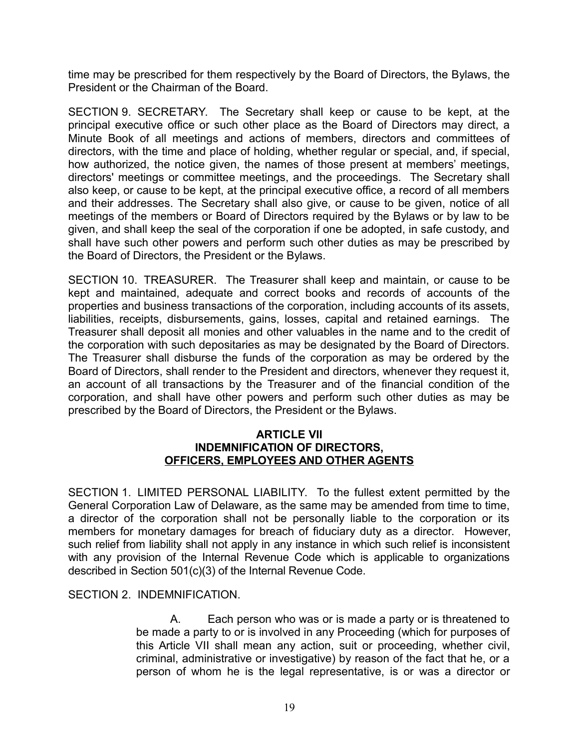time may be prescribed for them respectively by the Board of Directors, the Bylaws, the President or the Chairman of the Board.

SECTION 9. SECRETARY. The Secretary shall keep or cause to be kept, at the principal executive office or such other place as the Board of Directors may direct, a Minute Book of all meetings and actions of members, directors and committees of directors, with the time and place of holding, whether regular or special, and, if special, how authorized, the notice given, the names of those present at members' meetings, directors' meetings or committee meetings, and the proceedings. The Secretary shall also keep, or cause to be kept, at the principal executive office, a record of all members and their addresses. The Secretary shall also give, or cause to be given, notice of all meetings of the members or Board of Directors required by the Bylaws or by law to be given, and shall keep the seal of the corporation if one be adopted, in safe custody, and shall have such other powers and perform such other duties as may be prescribed by the Board of Directors, the President or the Bylaws.

SECTION 10. TREASURER. The Treasurer shall keep and maintain, or cause to be kept and maintained, adequate and correct books and records of accounts of the properties and business transactions of the corporation, including accounts of its assets, liabilities, receipts, disbursements, gains, losses, capital and retained earnings. The Treasurer shall deposit all monies and other valuables in the name and to the credit of the corporation with such depositaries as may be designated by the Board of Directors. The Treasurer shall disburse the funds of the corporation as may be ordered by the Board of Directors, shall render to the President and directors, whenever they request it, an account of all transactions by the Treasurer and of the financial condition of the corporation, and shall have other powers and perform such other duties as may be prescribed by the Board of Directors, the President or the Bylaws.

#### **ARTICLE VII INDEMNIFICATION OF DIRECTORS, OFFICERS, EMPLOYEES AND OTHER AGENTS**

SECTION 1. LIMITED PERSONAL LIABILITY. To the fullest extent permitted by the General Corporation Law of Delaware, as the same may be amended from time to time, a director of the corporation shall not be personally liable to the corporation or its members for monetary damages for breach of fiduciary duty as a director. However, such relief from liability shall not apply in any instance in which such relief is inconsistent with any provision of the Internal Revenue Code which is applicable to organizations described in Section 501(c)(3) of the Internal Revenue Code.

SECTION 2. INDEMNIFICATION.

A. Each person who was or is made a party or is threatened to be made a party to or is involved in any Proceeding (which for purposes of this Article VII shall mean any action, suit or proceeding, whether civil, criminal, administrative or investigative) by reason of the fact that he, or a person of whom he is the legal representative, is or was a director or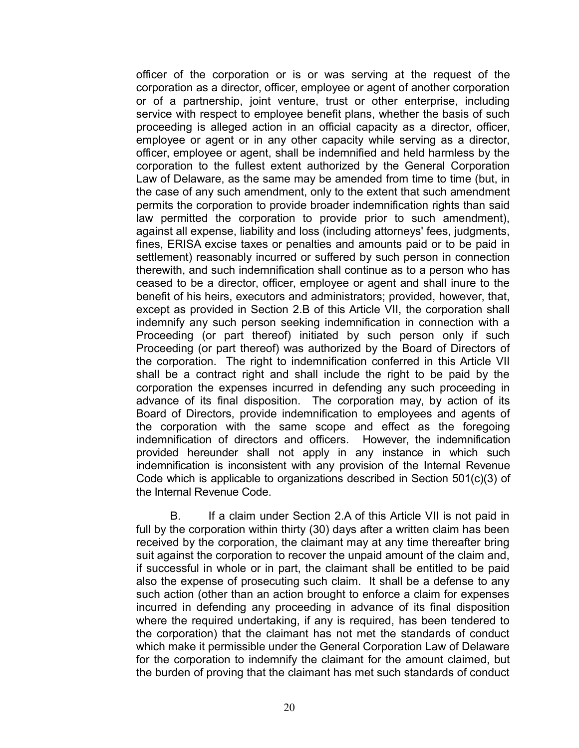officer of the corporation or is or was serving at the request of the corporation as a director, officer, employee or agent of another corporation or of a partnership, joint venture, trust or other enterprise, including service with respect to employee benefit plans, whether the basis of such proceeding is alleged action in an official capacity as a director, officer, employee or agent or in any other capacity while serving as a director, officer, employee or agent, shall be indemnified and held harmless by the corporation to the fullest extent authorized by the General Corporation Law of Delaware, as the same may be amended from time to time (but, in the case of any such amendment, only to the extent that such amendment permits the corporation to provide broader indemnification rights than said law permitted the corporation to provide prior to such amendment), against all expense, liability and loss (including attorneys' fees, judgments, fines, ERISA excise taxes or penalties and amounts paid or to be paid in settlement) reasonably incurred or suffered by such person in connection therewith, and such indemnification shall continue as to a person who has ceased to be a director, officer, employee or agent and shall inure to the benefit of his heirs, executors and administrators; provided, however, that, except as provided in Section 2.B of this Article VII, the corporation shall indemnify any such person seeking indemnification in connection with a Proceeding (or part thereof) initiated by such person only if such Proceeding (or part thereof) was authorized by the Board of Directors of the corporation. The right to indemnification conferred in this Article VII shall be a contract right and shall include the right to be paid by the corporation the expenses incurred in defending any such proceeding in advance of its final disposition. The corporation may, by action of its Board of Directors, provide indemnification to employees and agents of the corporation with the same scope and effect as the foregoing indemnification of directors and officers. However, the indemnification provided hereunder shall not apply in any instance in which such indemnification is inconsistent with any provision of the Internal Revenue Code which is applicable to organizations described in Section 501(c)(3) of the Internal Revenue Code.

B. If a claim under Section 2.A of this Article VII is not paid in full by the corporation within thirty (30) days after a written claim has been received by the corporation, the claimant may at any time thereafter bring suit against the corporation to recover the unpaid amount of the claim and, if successful in whole or in part, the claimant shall be entitled to be paid also the expense of prosecuting such claim. It shall be a defense to any such action (other than an action brought to enforce a claim for expenses incurred in defending any proceeding in advance of its final disposition where the required undertaking, if any is required, has been tendered to the corporation) that the claimant has not met the standards of conduct which make it permissible under the General Corporation Law of Delaware for the corporation to indemnify the claimant for the amount claimed, but the burden of proving that the claimant has met such standards of conduct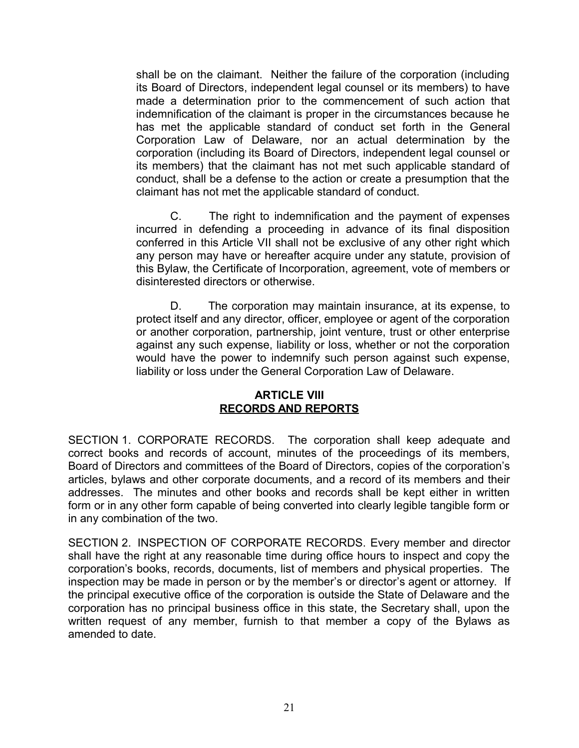shall be on the claimant. Neither the failure of the corporation (including its Board of Directors, independent legal counsel or its members) to have made a determination prior to the commencement of such action that indemnification of the claimant is proper in the circumstances because he has met the applicable standard of conduct set forth in the General Corporation Law of Delaware, nor an actual determination by the corporation (including its Board of Directors, independent legal counsel or its members) that the claimant has not met such applicable standard of conduct, shall be a defense to the action or create a presumption that the claimant has not met the applicable standard of conduct.

C. The right to indemnification and the payment of expenses incurred in defending a proceeding in advance of its final disposition conferred in this Article VII shall not be exclusive of any other right which any person may have or hereafter acquire under any statute, provision of this Bylaw, the Certificate of Incorporation, agreement, vote of members or disinterested directors or otherwise.

D. The corporation may maintain insurance, at its expense, to protect itself and any director, officer, employee or agent of the corporation or another corporation, partnership, joint venture, trust or other enterprise against any such expense, liability or loss, whether or not the corporation would have the power to indemnify such person against such expense, liability or loss under the General Corporation Law of Delaware.

### **ARTICLE VIII RECORDS AND REPORTS**

SECTION 1. CORPORATE RECORDS. The corporation shall keep adequate and correct books and records of account, minutes of the proceedings of its members, Board of Directors and committees of the Board of Directors, copies of the corporation's articles, bylaws and other corporate documents, and a record of its members and their addresses. The minutes and other books and records shall be kept either in written form or in any other form capable of being converted into clearly legible tangible form or in any combination of the two.

SECTION 2. INSPECTION OF CORPORATE RECORDS. Every member and director shall have the right at any reasonable time during office hours to inspect and copy the corporation's books, records, documents, list of members and physical properties. The inspection may be made in person or by the member's or director's agent or attorney. If the principal executive office of the corporation is outside the State of Delaware and the corporation has no principal business office in this state, the Secretary shall, upon the written request of any member, furnish to that member a copy of the Bylaws as amended to date.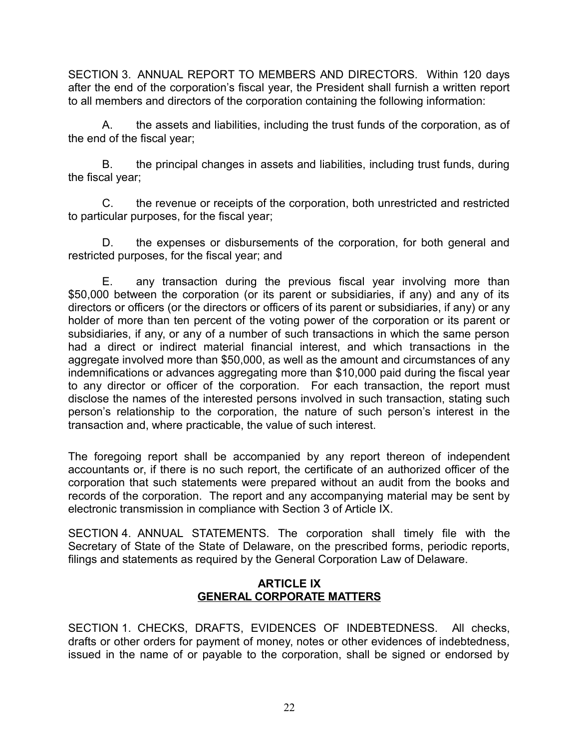SECTION 3. ANNUAL REPORT TO MEMBERS AND DIRECTORS. Within 120 days after the end of the corporation's fiscal year, the President shall furnish a written report to all members and directors of the corporation containing the following information:

A. the assets and liabilities, including the trust funds of the corporation, as of the end of the fiscal year;

B. the principal changes in assets and liabilities, including trust funds, during the fiscal year;

C. the revenue or receipts of the corporation, both unrestricted and restricted to particular purposes, for the fiscal year;

D. the expenses or disbursements of the corporation, for both general and restricted purposes, for the fiscal year; and

E. any transaction during the previous fiscal year involving more than \$50,000 between the corporation (or its parent or subsidiaries, if any) and any of its directors or officers (or the directors or officers of its parent or subsidiaries, if any) or any holder of more than ten percent of the voting power of the corporation or its parent or subsidiaries, if any, or any of a number of such transactions in which the same person had a direct or indirect material financial interest, and which transactions in the aggregate involved more than \$50,000, as well as the amount and circumstances of any indemnifications or advances aggregating more than \$10,000 paid during the fiscal year to any director or officer of the corporation. For each transaction, the report must disclose the names of the interested persons involved in such transaction, stating such person's relationship to the corporation, the nature of such person's interest in the transaction and, where practicable, the value of such interest.

The foregoing report shall be accompanied by any report thereon of independent accountants or, if there is no such report, the certificate of an authorized officer of the corporation that such statements were prepared without an audit from the books and records of the corporation. The report and any accompanying material may be sent by electronic transmission in compliance with Section 3 of Article IX.

SECTION 4. ANNUAL STATEMENTS. The corporation shall timely file with the Secretary of State of the State of Delaware, on the prescribed forms, periodic reports, filings and statements as required by the General Corporation Law of Delaware.

# **ARTICLE IX GENERAL CORPORATE MATTERS**

SECTION 1. CHECKS, DRAFTS, EVIDENCES OF INDEBTEDNESS. All checks, drafts or other orders for payment of money, notes or other evidences of indebtedness, issued in the name of or payable to the corporation, shall be signed or endorsed by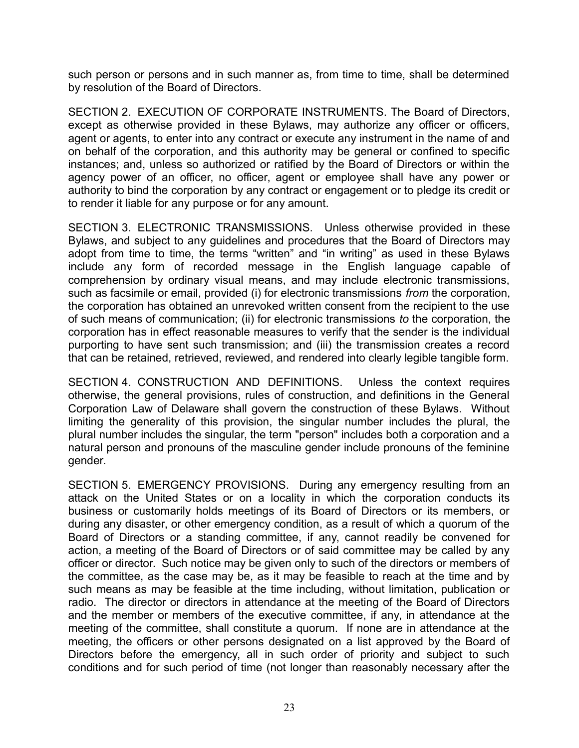such person or persons and in such manner as, from time to time, shall be determined by resolution of the Board of Directors.

SECTION 2. EXECUTION OF CORPORATE INSTRUMENTS. The Board of Directors, except as otherwise provided in these Bylaws, may authorize any officer or officers, agent or agents, to enter into any contract or execute any instrument in the name of and on behalf of the corporation, and this authority may be general or confined to specific instances; and, unless so authorized or ratified by the Board of Directors or within the agency power of an officer, no officer, agent or employee shall have any power or authority to bind the corporation by any contract or engagement or to pledge its credit or to render it liable for any purpose or for any amount.

SECTION 3. ELECTRONIC TRANSMISSIONS. Unless otherwise provided in these Bylaws, and subject to any guidelines and procedures that the Board of Directors may adopt from time to time, the terms "written" and "in writing" as used in these Bylaws include any form of recorded message in the English language capable of comprehension by ordinary visual means, and may include electronic transmissions, such as facsimile or email, provided (i) for electronic transmissions *from* the corporation, the corporation has obtained an unrevoked written consent from the recipient to the use of such means of communication; (ii) for electronic transmissions *to* the corporation, the corporation has in effect reasonable measures to verify that the sender is the individual purporting to have sent such transmission; and (iii) the transmission creates a record that can be retained, retrieved, reviewed, and rendered into clearly legible tangible form.

SECTION 4. CONSTRUCTION AND DEFINITIONS. Unless the context requires otherwise, the general provisions, rules of construction, and definitions in the General Corporation Law of Delaware shall govern the construction of these Bylaws. Without limiting the generality of this provision, the singular number includes the plural, the plural number includes the singular, the term "person" includes both a corporation and a natural person and pronouns of the masculine gender include pronouns of the feminine gender.

SECTION 5. EMERGENCY PROVISIONS. During any emergency resulting from an attack on the United States or on a locality in which the corporation conducts its business or customarily holds meetings of its Board of Directors or its members, or during any disaster, or other emergency condition, as a result of which a quorum of the Board of Directors or a standing committee, if any, cannot readily be convened for action, a meeting of the Board of Directors or of said committee may be called by any officer or director. Such notice may be given only to such of the directors or members of the committee, as the case may be, as it may be feasible to reach at the time and by such means as may be feasible at the time including, without limitation, publication or radio. The director or directors in attendance at the meeting of the Board of Directors and the member or members of the executive committee, if any, in attendance at the meeting of the committee, shall constitute a quorum. If none are in attendance at the meeting, the officers or other persons designated on a list approved by the Board of Directors before the emergency, all in such order of priority and subject to such conditions and for such period of time (not longer than reasonably necessary after the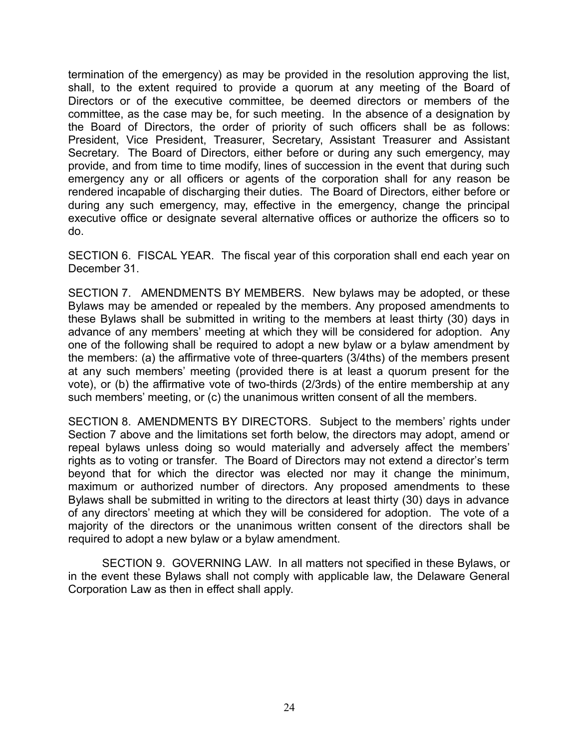termination of the emergency) as may be provided in the resolution approving the list, shall, to the extent required to provide a quorum at any meeting of the Board of Directors or of the executive committee, be deemed directors or members of the committee, as the case may be, for such meeting. In the absence of a designation by the Board of Directors, the order of priority of such officers shall be as follows: President, Vice President, Treasurer, Secretary, Assistant Treasurer and Assistant Secretary. The Board of Directors, either before or during any such emergency, may provide, and from time to time modify, lines of succession in the event that during such emergency any or all officers or agents of the corporation shall for any reason be rendered incapable of discharging their duties. The Board of Directors, either before or during any such emergency, may, effective in the emergency, change the principal executive office or designate several alternative offices or authorize the officers so to do.

SECTION 6. FISCAL YEAR. The fiscal year of this corporation shall end each year on December 31.

SECTION 7. AMENDMENTS BY MEMBERS. New bylaws may be adopted, or these Bylaws may be amended or repealed by the members. Any proposed amendments to these Bylaws shall be submitted in writing to the members at least thirty (30) days in advance of any members' meeting at which they will be considered for adoption. Any one of the following shall be required to adopt a new bylaw or a bylaw amendment by the members: (a) the affirmative vote of three-quarters (3/4ths) of the members present at any such members' meeting (provided there is at least a quorum present for the vote), or (b) the affirmative vote of two-thirds (2/3rds) of the entire membership at any such members' meeting, or (c) the unanimous written consent of all the members.

SECTION 8. AMENDMENTS BY DIRECTORS. Subject to the members' rights under Section 7 above and the limitations set forth below, the directors may adopt, amend or repeal bylaws unless doing so would materially and adversely affect the members' rights as to voting or transfer. The Board of Directors may not extend a director's term beyond that for which the director was elected nor may it change the minimum, maximum or authorized number of directors. Any proposed amendments to these Bylaws shall be submitted in writing to the directors at least thirty (30) days in advance of any directors' meeting at which they will be considered for adoption. The vote of a majority of the directors or the unanimous written consent of the directors shall be required to adopt a new bylaw or a bylaw amendment.

SECTION 9. GOVERNING LAW. In all matters not specified in these Bylaws, or in the event these Bylaws shall not comply with applicable law, the Delaware General Corporation Law as then in effect shall apply.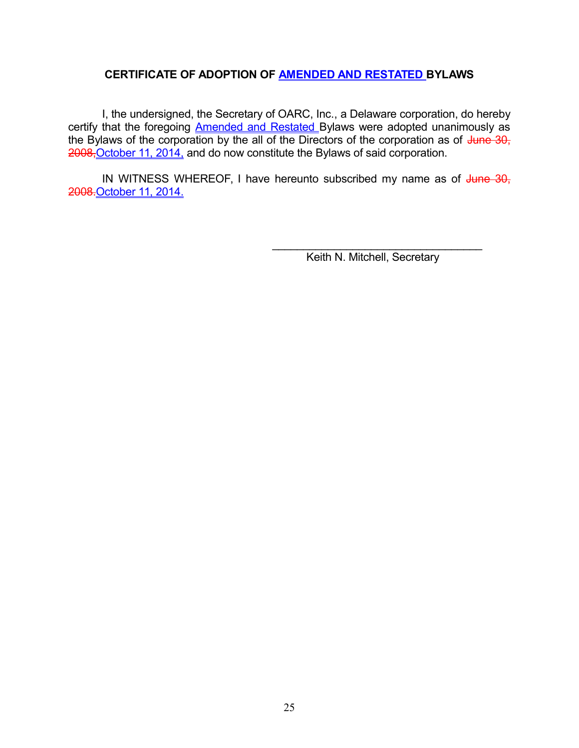## **CERTIFICATE OF ADOPTION OF AMENDED AND RESTATED BYLAWS**

I, the undersigned, the Secretary of OARC, Inc., a Delaware corporation, do hereby certify that the foregoing Amended and Restated Bylaws were adopted unanimously as the Bylaws of the corporation by the all of the Directors of the corporation as of  $\frac{1}{2}$ une 30, 2008,October 11, 2014, and do now constitute the Bylaws of said corporation.

IN WITNESS WHEREOF, I have hereunto subscribed my name as of June 30, 2008.October 11, 2014.

> $\mathcal{L}_\text{max}$  and  $\mathcal{L}_\text{max}$  and  $\mathcal{L}_\text{max}$  and  $\mathcal{L}_\text{max}$ Keith N. Mitchell, Secretary